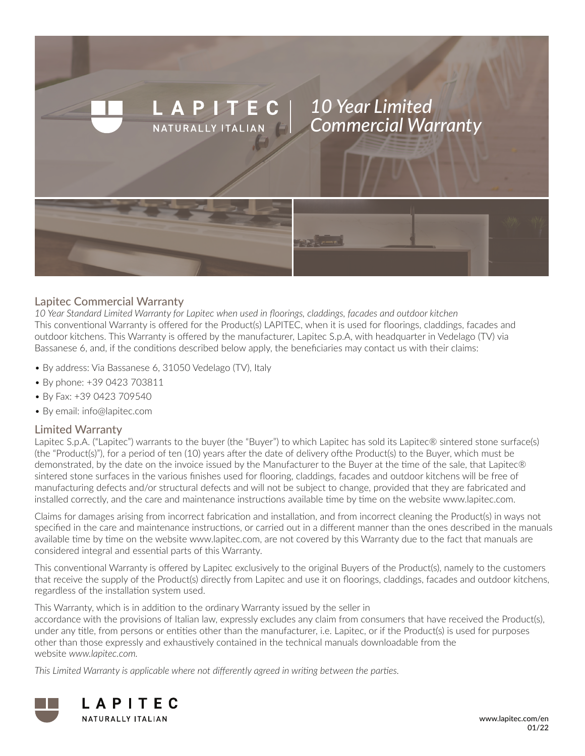

### Lapitec Commercial Warranty

*10 Year Standard Limited Warranty for Lapitec when used in floorings, claddings, facades and outdoor kitchen* This conventional Warranty is offered for the Product(s) LAPITEC, when it is used for floorings, claddings, facades and outdoor kitchens. This Warranty is offered by the manufacturer, Lapitec S.p.A, with headquarter in Vedelago (TV) via Bassanese 6, and, if the conditions described below apply, the beneficiaries may contact us with their claims:

- By address: Via Bassanese 6, 31050 Vedelago (TV), Italy
- By phone: +39 0423 703811
- By Fax: +39 0423 709540
- By email: info@lapitec.com

#### Limited Warranty

Lapitec S.p.A. ("Lapitec") warrants to the buyer (the "Buyer") to which Lapitec has sold its Lapitec® sintered stone surface(s) (the "Product(s)"), for a period of ten (10) years after the date of delivery ofthe Product(s) to the Buyer, which must be demonstrated, by the date on the invoice issued by the Manufacturer to the Buyer at the time of the sale, that Lapitec® sintered stone surfaces in the various finishes used for flooring, claddings, facades and outdoor kitchens will be free of manufacturing defects and/or structural defects and will not be subject to change, provided that they are fabricated and installed correctly, and the care and maintenance instructions available time by time on the website www.lapitec.com.

Claims for damages arising from incorrect fabrication and installation, and from incorrect cleaning the Product(s) in ways not specified in the care and maintenance instructions, or carried out in a different manner than the ones described in the manuals available time by time on the website www.lapitec.com, are not covered by this Warranty due to the fact that manuals are considered integral and essential parts of this Warranty.

This conventional Warranty is offered by Lapitec exclusively to the original Buyers of the Product(s), namely to the customers that receive the supply of the Product(s) directly from Lapitec and use it on floorings, claddings, facades and outdoor kitchens, regardless of the installation system used.

This Warranty, which is in addition to the ordinary Warranty issued by the seller in

accordance with the provisions of Italian law, expressly excludes any claim from consumers that have received the Product(s), under any title, from persons or entities other than the manufacturer, i.e. Lapitec, or if the Product(s) is used for purposes other than those expressly and exhaustively contained in the technical manuals downloadable from the website *www.lapitec.com.*

*This Limited Warranty is applicable where not differently agreed in writing between the parties.*

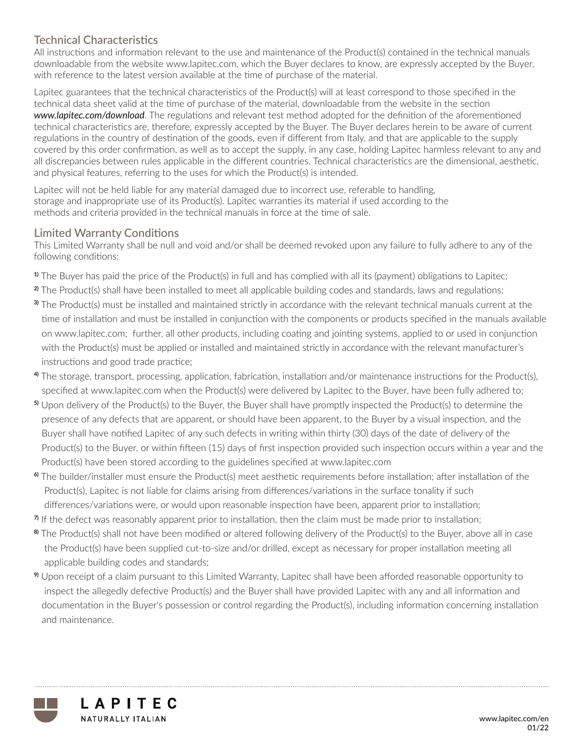# Technical Characteristics

All instructions and information relevant to the use and maintenance of the Product(s) contained in the technical manuals downloadable from the website www.lapitec.com, which the Buyer declares to know, are expressly accepted by the Buyer, with reference to the latest version available at the time of purchase of the material.

Lapitec guarantees that the technical characteristics of the Product(s) will at least correspond to those specified in the technical data sheet valid at the time of purchase of the material, downloadable from the website in the section *www.lapitec.com/download*. The regulations and relevant test method adopted for the definition of the aforementioned technical characteristics are, therefore, expressly accepted by the Buyer. The Buyer declares herein to be aware of current regulations in the country of destination of the goods, even if different from Italy, and that are applicable to the supply covered by this order confirmation, as well as to accept the supply, in any case, holding Lapitec harmless relevant to any and all discrepancies between rules applicable in the different countries. Technical characteristics are the dimensional, aesthetic, and physical features, referring to the uses for which the Product(s) is intended.

Lapitec will not be held liable for any material damaged due to incorrect use, referable to handling, storage and inappropriate use of its Product(s). Lapitec warranties its material if used according to the methods and criteria provided in the technical manuals in force at the time of sale.

## Limited Warranty Conditions

This Limited Warranty shall be null and void and/or shall be deemed revoked upon any failure to fully adhere to any of the following conditions:

- **1)** The Buyer has paid the price of the Product(s) in full and has complied with all its (payment) obligations to Lapitec;
- **2)** The Product(s) shall have been installed to meet all applicable building codes and standards, laws and regulations;
- **3)** The Product(s) must be installed and maintained strictly in accordance with the relevant technical manuals current at the time of installation and must be installed in conjunction with the components or products specified in the manuals available on www.lapitec.com; further, all other products, including coating and jointing systems, applied to or used in conjunction with the Product(s) must be applied or installed and maintained strictly in accordance with the relevant manufacturer's instructions and good trade practice;
- **4)** The storage, transport, processing, application, fabrication, installation and/or maintenance instructions for the Product(s), specified at www.lapitec.com when the Product(s) were delivered by Lapitec to the Buyer, have been fully adhered to;
- **5)** Upon delivery of the Product(s) to the Buyer, the Buyer shall have promptly inspected the Product(s) to determine the presence of any defects that are apparent, or should have been apparent, to the Buyer by a visual inspection, and the Buyer shall have notified Lapitec of any such defects in writing within thirty (30) days of the date of delivery of the Product(s) to the Buyer, or within fifteen (15) days of first inspection provided such inspection occurs within a year and the Product(s) have been stored according to the guidelines specified at www.lapitec.com
- **6)** The builder/installer must ensure the Product(s) meet aesthetic requirements before installation; after installation of the Product(s), Lapitec is not liable for claims arising from differences/variations in the surface tonality if such differences/variations were, or would upon reasonable inspection have been, apparent prior to installation;
- **7)** If the defect was reasonably apparent prior to installation, then the claim must be made prior to installation;
- **8)** The Product(s) shall not have been modified or altered following delivery of the Product(s) to the Buyer, above all in case the Product(s) have been supplied cut-to-size and/or drilled, except as necessary for proper installation meeting all applicable building codes and standards;
- **9)** Upon receipt of a claim pursuant to this Limited Warranty, Lapitec shall have been afforded reasonable opportunity to inspect the allegedly defective Product(s) and the Buyer shall have provided Lapitec with any and all information and documentation in the Buyer's possession or control regarding the Product(s), including information concerning installation and maintenance.

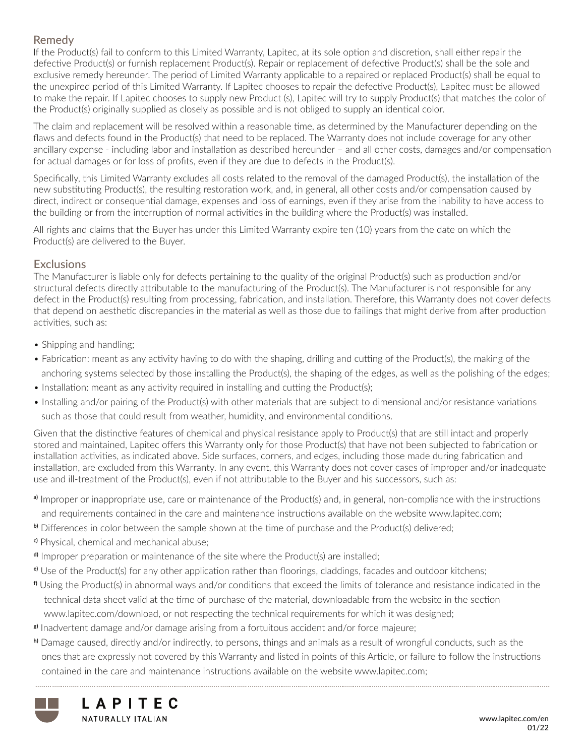## Remedy

If the Product(s) fail to conform to this Limited Warranty, Lapitec, at its sole option and discretion, shall either repair the defective Product(s) or furnish replacement Product(s). Repair or replacement of defective Product(s) shall be the sole and exclusive remedy hereunder. The period of Limited Warranty applicable to a repaired or replaced Product(s) shall be equal to the unexpired period of this Limited Warranty. If Lapitec chooses to repair the defective Product(s), Lapitec must be allowed to make the repair. If Lapitec chooses to supply new Product (s), Lapitec will try to supply Product(s) that matches the color of the Product(s) originally supplied as closely as possible and is not obliged to supply an identical color.

The claim and replacement will be resolved within a reasonable time, as determined by the Manufacturer depending on the flaws and defects found in the Product(s) that need to be replaced. The Warranty does not include coverage for any other ancillary expense - including labor and installation as described hereunder – and all other costs, damages and/or compensation for actual damages or for loss of profits, even if they are due to defects in the Product(s).

Specifically, this Limited Warranty excludes all costs related to the removal of the damaged Product(s), the installation of the new substituting Product(s), the resulting restoration work, and, in general, all other costs and/or compensation caused by direct, indirect or consequential damage, expenses and loss of earnings, even if they arise from the inability to have access to the building or from the interruption of normal activities in the building where the Product(s) was installed.

All rights and claims that the Buyer has under this Limited Warranty expire ten (10) years from the date on which the Product(s) are delivered to the Buyer.

### **Exclusions**

The Manufacturer is liable only for defects pertaining to the quality of the original Product(s) such as production and/or structural defects directly attributable to the manufacturing of the Product(s). The Manufacturer is not responsible for any defect in the Product(s) resulting from processing, fabrication, and installation. Therefore, this Warranty does not cover defects that depend on aesthetic discrepancies in the material as well as those due to failings that might derive from after production activities, such as:

- Shipping and handling;
- Fabrication: meant as any activity having to do with the shaping, drilling and cutting of the Product(s), the making of the anchoring systems selected by those installing the Product(s), the shaping of the edges, as well as the polishing of the edges;
- Installation: meant as any activity required in installing and cutting the Product(s);
- Installing and/or pairing of the Product(s) with other materials that are subject to dimensional and/or resistance variations such as those that could result from weather, humidity, and environmental conditions.

Given that the distinctive features of chemical and physical resistance apply to Product(s) that are still intact and properly stored and maintained, Lapitec offers this Warranty only for those Product(s) that have not been subjected to fabrication or installation activities, as indicated above. Side surfaces, corners, and edges, including those made during fabrication and installation, are excluded from this Warranty. In any event, this Warranty does not cover cases of improper and/or inadequate use and ill-treatment of the Product(s), even if not attributable to the Buyer and his successors, such as:

- **a)** Improper or inappropriate use, care or maintenance of the Product(s) and, in general, non-compliance with the instructions and requirements contained in the care and maintenance instructions available on the website www.lapitec.com;
- **b**) Differences in color between the sample shown at the time of purchase and the Product(s) delivered;
- **c)** Physical, chemical and mechanical abuse;
- **d**) Improper preparation or maintenance of the site where the Product(s) are installed;
- **e)** Use of the Product(s) for any other application rather than floorings, claddings, facades and outdoor kitchens;
- **f)** Using the Product(s) in abnormal ways and/or conditions that exceed the limits of tolerance and resistance indicated in the technical data sheet valid at the time of purchase of the material, downloadable from the website in the section www.lapitec.com/download, or not respecting the technical requirements for which it was designed;
- **g)** Inadvertent damage and/or damage arising from a fortuitous accident and/or force majeure;
- **h)** Damage caused, directly and/or indirectly, to persons, things and animals as a result of wrongful conducts, such as the ones that are expressly not covered by this Warranty and listed in points of this Article, or failure to follow the instructions contained in the care and maintenance instructions available on the website www.lapitec.com;



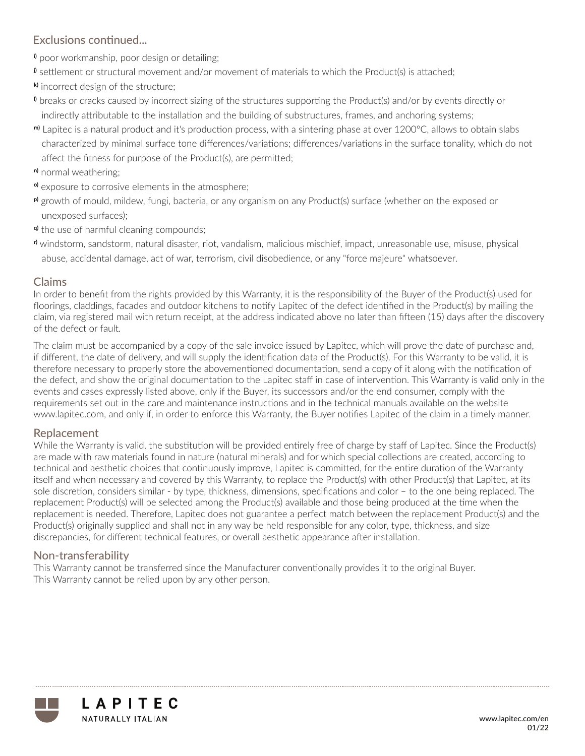# Exclusions continued...

**i)** poor workmanship, poor design or detailing;

**j)** settlement or structural movement and/or movement of materials to which the Product(s) is attached;

- **k)** incorrect design of the structure;
- **l)** breaks or cracks caused by incorrect sizing of the structures supporting the Product(s) and/or by events directly or indirectly attributable to the installation and the building of substructures, frames, and anchoring systems;
- **m)** Lapitec is a natural product and it's production process, with a sintering phase at over 1200°C, allows to obtain slabs characterized by minimal surface tone differences/variations; differences/variations in the surface tonality, which do not affect the fitness for purpose of the Product(s), are permitted;
- **n)** normal weathering;
- **o)** exposure to corrosive elements in the atmosphere;
- **p)** growth of mould, mildew, fungi, bacteria, or any organism on any Product(s) surface (whether on the exposed or unexposed surfaces);
- **q)** the use of harmful cleaning compounds;
- **r)** windstorm, sandstorm, natural disaster, riot, vandalism, malicious mischief, impact, unreasonable use, misuse, physical abuse, accidental damage, act of war, terrorism, civil disobedience, or any "force majeure" whatsoever.

## Claims

In order to benefit from the rights provided by this Warranty, it is the responsibility of the Buyer of the Product(s) used for floorings, claddings, facades and outdoor kitchens to notify Lapitec of the defect identified in the Product(s) by mailing the claim, via registered mail with return receipt, at the address indicated above no later than fifteen (15) days after the discovery of the defect or fault.

The claim must be accompanied by a copy of the sale invoice issued by Lapitec, which will prove the date of purchase and, if different, the date of delivery, and will supply the identification data of the Product(s). For this Warranty to be valid, it is therefore necessary to properly store the abovementioned documentation, send a copy of it along with the notification of the defect, and show the original documentation to the Lapitec staff in case of intervention. This Warranty is valid only in the events and cases expressly listed above, only if the Buyer, its successors and/or the end consumer, comply with the requirements set out in the care and maintenance instructions and in the technical manuals available on the website www.lapitec.com, and only if, in order to enforce this Warranty, the Buyer notifies Lapitec of the claim in a timely manner.

#### Replacement

While the Warranty is valid, the substitution will be provided entirely free of charge by staff of Lapitec. Since the Product(s) are made with raw materials found in nature (natural minerals) and for which special collections are created, according to technical and aesthetic choices that continuously improve, Lapitec is committed, for the entire duration of the Warranty itself and when necessary and covered by this Warranty, to replace the Product(s) with other Product(s) that Lapitec, at its sole discretion, considers similar - by type, thickness, dimensions, specifications and color – to the one being replaced. The replacement Product(s) will be selected among the Product(s) available and those being produced at the time when the replacement is needed. Therefore, Lapitec does not guarantee a perfect match between the replacement Product(s) and the Product(s) originally supplied and shall not in any way be held responsible for any color, type, thickness, and size discrepancies, for different technical features, or overall aesthetic appearance after installation.

## Non-transferability

This Warranty cannot be transferred since the Manufacturer conventionally provides it to the original Buyer. This Warranty cannot be relied upon by any other person.